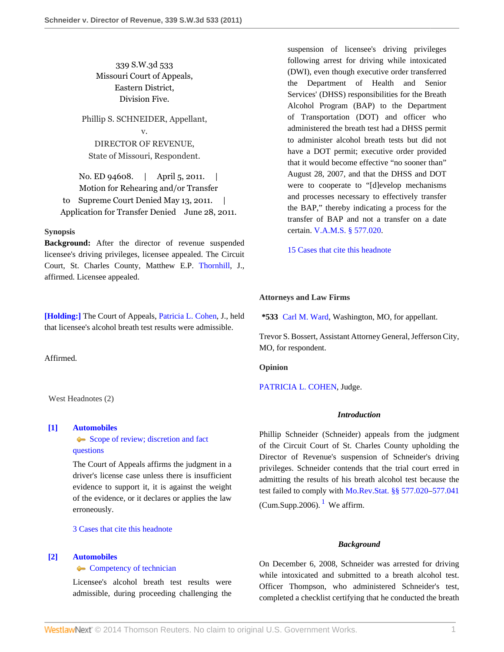339 S.W.3d 533 Missouri Court of Appeals, Eastern District, Division Five.

Phillip S. SCHNEIDER, Appellant, v. DIRECTOR OF REVENUE, State of Missouri, Respondent.

No. ED 94608. | April 5, 2011. | Motion for Rehearing and/or Transfer to Supreme Court Denied May 13, 2011. Application for Transfer Denied June 28, 2011.

# **Synopsis**

**Background:** After the director of revenue suspended licensee's driving privileges, licensee appealed. The Circuit Court, St. Charles County, Matthew E.P. [Thornhill](http://www.westlaw.com/Link/Document/FullText?findType=h&pubNum=176284&cite=0278882401&originatingDoc=I9da972a96d1a11e0af6af9916f973d19&refType=RQ&originationContext=document&vr=3.0&rs=cblt1.0&transitionType=DocumentItem&contextData=(sc.Search)), J., affirmed. Licensee appealed.

**[\[Holding:\]](#page-0-0)** The Court of Appeals, [Patricia L. Cohen](http://www.westlaw.com/Link/Document/FullText?findType=h&pubNum=176284&cite=0135329301&originatingDoc=I9da972a96d1a11e0af6af9916f973d19&refType=RQ&originationContext=document&vr=3.0&rs=cblt1.0&transitionType=DocumentItem&contextData=(sc.Search)), J., held that licensee's alcohol breath test results were admissible.

Affirmed.

West Headnotes (2)

### <span id="page-0-1"></span>**[\[1\]](#page-1-0) [Automobiles](http://www.westlaw.com/Browse/Home/KeyNumber/48A/View.html?docGuid=I9da972a96d1a11e0af6af9916f973d19&originationContext=document&vr=3.0&rs=cblt1.0&transitionType=DocumentItem&contextData=(sc.Search))**

[Scope of review; discretion and fact](http://www.westlaw.com/Browse/Home/KeyNumber/48Ak144.2(3)/View.html?docGuid=I9da972a96d1a11e0af6af9916f973d19&originationContext=document&vr=3.0&rs=cblt1.0&transitionType=DocumentItem&contextData=(sc.Search)) [questions](http://www.westlaw.com/Browse/Home/KeyNumber/48Ak144.2(3)/View.html?docGuid=I9da972a96d1a11e0af6af9916f973d19&originationContext=document&vr=3.0&rs=cblt1.0&transitionType=DocumentItem&contextData=(sc.Search))

The Court of Appeals affirms the judgment in a driver's license case unless there is insufficient evidence to support it, it is against the weight of the evidence, or it declares or applies the law erroneously.

[3 Cases that cite this headnote](http://www.westlaw.com/Link/RelatedInformation/DocHeadnoteLink?docGuid=I9da972a96d1a11e0af6af9916f973d19&headnoteId=202514790800120110823120002&originationContext=document&vr=3.0&rs=cblt1.0&transitionType=CitingReferences&contextData=(sc.Search))

# <span id="page-0-0"></span>**[\[2\]](#page-2-0) [Automobiles](http://www.westlaw.com/Browse/Home/KeyNumber/48A/View.html?docGuid=I9da972a96d1a11e0af6af9916f973d19&originationContext=document&vr=3.0&rs=cblt1.0&transitionType=DocumentItem&contextData=(sc.Search))**

# **[Competency of technician](http://www.westlaw.com/Browse/Home/KeyNumber/48Ak423/View.html?docGuid=I9da972a96d1a11e0af6af9916f973d19&originationContext=document&vr=3.0&rs=cblt1.0&transitionType=DocumentItem&contextData=(sc.Search))**

Licensee's alcohol breath test results were admissible, during proceeding challenging the suspension of licensee's driving privileges following arrest for driving while intoxicated (DWI), even though executive order transferred the Department of Health and Senior Services' (DHSS) responsibilities for the Breath Alcohol Program (BAP) to the Department of Transportation (DOT) and officer who administered the breath test had a DHSS permit to administer alcohol breath tests but did not have a DOT permit; executive order provided that it would become effective "no sooner than" August 28, 2007, and that the DHSS and DOT were to cooperate to "[d]evelop mechanisms and processes necessary to effectively transfer the BAP," thereby indicating a process for the transfer of BAP and not a transfer on a date certain. [V.A.M.S. § 577.020](http://www.westlaw.com/Link/Document/FullText?findType=L&pubNum=1000229&cite=MOST577.020&originatingDoc=I9da972a96d1a11e0af6af9916f973d19&refType=LQ&originationContext=document&vr=3.0&rs=cblt1.0&transitionType=DocumentItem&contextData=(sc.Search)).

[15 Cases that cite this headnote](http://www.westlaw.com/Link/RelatedInformation/DocHeadnoteLink?docGuid=I9da972a96d1a11e0af6af9916f973d19&headnoteId=202514790800220110823120002&originationContext=document&vr=3.0&rs=cblt1.0&transitionType=CitingReferences&contextData=(sc.Search))

## **Attorneys and Law Firms**

**\*533** [Carl M. Ward](http://www.westlaw.com/Link/Document/FullText?findType=h&pubNum=176284&cite=0289418701&originatingDoc=I9da972a96d1a11e0af6af9916f973d19&refType=RQ&originationContext=document&vr=3.0&rs=cblt1.0&transitionType=DocumentItem&contextData=(sc.Search)), Washington, MO, for appellant.

Trevor S. Bossert, Assistant Attorney General, Jefferson City, MO, for respondent.

**Opinion**

[PATRICIA L. COHEN](http://www.westlaw.com/Link/Document/FullText?findType=h&pubNum=176284&cite=0135329301&originatingDoc=I9da972a96d1a11e0af6af9916f973d19&refType=RQ&originationContext=document&vr=3.0&rs=cblt1.0&transitionType=DocumentItem&contextData=(sc.Search)), Judge.

#### *Introduction*

Phillip Schneider (Schneider) appeals from the judgment of the Circuit Court of St. Charles County upholding the Director of Revenue's suspension of Schneider's driving privileges. Schneider contends that the trial court erred in admitting the results of his breath alcohol test because the test failed to comply with [Mo.Rev.Stat. §§ 577.020](http://www.westlaw.com/Link/Document/FullText?findType=L&pubNum=1000229&cite=MOST577.020&originatingDoc=I9da972a96d1a11e0af6af9916f973d19&refType=LQ&originationContext=document&vr=3.0&rs=cblt1.0&transitionType=DocumentItem&contextData=(sc.Search))[–577.041](http://www.westlaw.com/Link/Document/FullText?findType=L&pubNum=1000229&cite=MOST577.041&originatingDoc=I9da972a96d1a11e0af6af9916f973d19&refType=LQ&originationContext=document&vr=3.0&rs=cblt1.0&transitionType=DocumentItem&contextData=(sc.Search)) (Cum.Supp.2006).  $<sup>1</sup>$  $<sup>1</sup>$  $<sup>1</sup>$  We affirm.</sup>

### <span id="page-0-2"></span>*Background*

On December 6, 2008, Schneider was arrested for driving while intoxicated and submitted to a breath alcohol test. Officer Thompson, who administered Schneider's test, completed a checklist certifying that he conducted the breath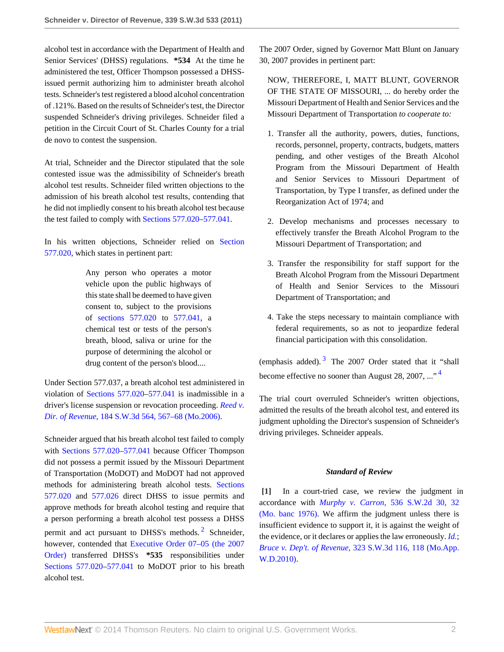alcohol test in accordance with the Department of Health and Senior Services' (DHSS) regulations. **\*534** At the time he administered the test, Officer Thompson possessed a DHSSissued permit authorizing him to administer breath alcohol tests. Schneider's test registered a blood alcohol concentration of .121%. Based on the results of Schneider's test, the Director suspended Schneider's driving privileges. Schneider filed a petition in the Circuit Court of St. Charles County for a trial de novo to contest the suspension.

At trial, Schneider and the Director stipulated that the sole contested issue was the admissibility of Schneider's breath alcohol test results. Schneider filed written objections to the admission of his breath alcohol test results, contending that he did not impliedly consent to his breath alcohol test because the test failed to comply with [Sections 577.020](http://www.westlaw.com/Link/Document/FullText?findType=L&pubNum=1000229&cite=MOST577.020&originatingDoc=I9da972a96d1a11e0af6af9916f973d19&refType=LQ&originationContext=document&vr=3.0&rs=cblt1.0&transitionType=DocumentItem&contextData=(sc.Search))[–577.041.](http://www.westlaw.com/Link/Document/FullText?findType=L&pubNum=1000229&cite=MOST577.041&originatingDoc=I9da972a96d1a11e0af6af9916f973d19&refType=LQ&originationContext=document&vr=3.0&rs=cblt1.0&transitionType=DocumentItem&contextData=(sc.Search))

In his written objections, Schneider relied on [Section](http://www.westlaw.com/Link/Document/FullText?findType=L&pubNum=1000229&cite=MOST577.020&originatingDoc=I9da972a96d1a11e0af6af9916f973d19&refType=LQ&originationContext=document&vr=3.0&rs=cblt1.0&transitionType=DocumentItem&contextData=(sc.Search)) [577.020](http://www.westlaw.com/Link/Document/FullText?findType=L&pubNum=1000229&cite=MOST577.020&originatingDoc=I9da972a96d1a11e0af6af9916f973d19&refType=LQ&originationContext=document&vr=3.0&rs=cblt1.0&transitionType=DocumentItem&contextData=(sc.Search)), which states in pertinent part:

> Any person who operates a motor vehicle upon the public highways of this state shall be deemed to have given consent to, subject to the provisions of [sections 577.020](http://www.westlaw.com/Link/Document/FullText?findType=L&pubNum=1000229&cite=MOST577.020&originatingDoc=I9da972a96d1a11e0af6af9916f973d19&refType=LQ&originationContext=document&vr=3.0&rs=cblt1.0&transitionType=DocumentItem&contextData=(sc.Search)) to [577.041,](http://www.westlaw.com/Link/Document/FullText?findType=L&pubNum=1000229&cite=MOST577.041&originatingDoc=I9da972a96d1a11e0af6af9916f973d19&refType=LQ&originationContext=document&vr=3.0&rs=cblt1.0&transitionType=DocumentItem&contextData=(sc.Search)) a chemical test or tests of the person's breath, blood, saliva or urine for the purpose of determining the alcohol or drug content of the person's blood....

Under Section 577.037, a breath alcohol test administered in violation of [Sections 577.020](http://www.westlaw.com/Link/Document/FullText?findType=L&pubNum=1000229&cite=MOST577.020&originatingDoc=I9da972a96d1a11e0af6af9916f973d19&refType=LQ&originationContext=document&vr=3.0&rs=cblt1.0&transitionType=DocumentItem&contextData=(sc.Search))[–577.041](http://www.westlaw.com/Link/Document/FullText?findType=L&pubNum=1000229&cite=MOST577.041&originatingDoc=I9da972a96d1a11e0af6af9916f973d19&refType=LQ&originationContext=document&vr=3.0&rs=cblt1.0&transitionType=DocumentItem&contextData=(sc.Search)) is inadmissible in a driver's license suspension or revocation proceeding. *[Reed v.](http://www.westlaw.com/Link/Document/FullText?findType=Y&serNum=2008409685&pubNum=4644&fi=co_pp_sp_4644_567&originationContext=document&vr=3.0&rs=cblt1.0&transitionType=DocumentItem&contextData=(sc.Search)#co_pp_sp_4644_567) Dir. of Revenue,* [184 S.W.3d 564, 567–68 \(Mo.2006\).](http://www.westlaw.com/Link/Document/FullText?findType=Y&serNum=2008409685&pubNum=4644&fi=co_pp_sp_4644_567&originationContext=document&vr=3.0&rs=cblt1.0&transitionType=DocumentItem&contextData=(sc.Search)#co_pp_sp_4644_567)

Schneider argued that his breath alcohol test failed to comply with [Sections 577.020](http://www.westlaw.com/Link/Document/FullText?findType=L&pubNum=1000229&cite=MOST577.020&originatingDoc=I9da972a96d1a11e0af6af9916f973d19&refType=LQ&originationContext=document&vr=3.0&rs=cblt1.0&transitionType=DocumentItem&contextData=(sc.Search))[–577.041](http://www.westlaw.com/Link/Document/FullText?findType=L&pubNum=1000229&cite=MOST577.041&originatingDoc=I9da972a96d1a11e0af6af9916f973d19&refType=LQ&originationContext=document&vr=3.0&rs=cblt1.0&transitionType=DocumentItem&contextData=(sc.Search)) because Officer Thompson did not possess a permit issued by the Missouri Department of Transportation (MoDOT) and MoDOT had not approved methods for administering breath alcohol tests. [Sections](http://www.westlaw.com/Link/Document/FullText?findType=L&pubNum=1000229&cite=MOST577.020&originatingDoc=I9da972a96d1a11e0af6af9916f973d19&refType=LQ&originationContext=document&vr=3.0&rs=cblt1.0&transitionType=DocumentItem&contextData=(sc.Search)) [577.020](http://www.westlaw.com/Link/Document/FullText?findType=L&pubNum=1000229&cite=MOST577.020&originatingDoc=I9da972a96d1a11e0af6af9916f973d19&refType=LQ&originationContext=document&vr=3.0&rs=cblt1.0&transitionType=DocumentItem&contextData=(sc.Search)) and [577.026](http://www.westlaw.com/Link/Document/FullText?findType=L&pubNum=1000229&cite=MOST577.026&originatingDoc=I9da972a96d1a11e0af6af9916f973d19&refType=LQ&originationContext=document&vr=3.0&rs=cblt1.0&transitionType=DocumentItem&contextData=(sc.Search)) direct DHSS to issue permits and approve methods for breath alcohol testing and require that a person performing a breath alcohol test possess a DHSS permit and act pursuant to DHSS's methods.<sup>[2](#page-4-1)</sup> Schneider, however, contended that [Executive Order 07–05 \(the 2007](http://www.westlaw.com/Link/Document/FullText?findType=Y&cite=EXECORDERNO07-05&originationContext=document&vr=3.0&rs=cblt1.0&transitionType=DocumentItem&contextData=(sc.Search)) [Order\)](http://www.westlaw.com/Link/Document/FullText?findType=Y&cite=EXECORDERNO07-05&originationContext=document&vr=3.0&rs=cblt1.0&transitionType=DocumentItem&contextData=(sc.Search)) transferred DHSS's **\*535** responsibilities under [Sections 577.020](http://www.westlaw.com/Link/Document/FullText?findType=L&pubNum=1000229&cite=MOST577.020&originatingDoc=I9da972a96d1a11e0af6af9916f973d19&refType=LQ&originationContext=document&vr=3.0&rs=cblt1.0&transitionType=DocumentItem&contextData=(sc.Search))[–577.041](http://www.westlaw.com/Link/Document/FullText?findType=L&pubNum=1000229&cite=MOST577.041&originatingDoc=I9da972a96d1a11e0af6af9916f973d19&refType=LQ&originationContext=document&vr=3.0&rs=cblt1.0&transitionType=DocumentItem&contextData=(sc.Search)) to MoDOT prior to his breath alcohol test.

The 2007 Order, signed by Governor Matt Blunt on January 30, 2007 provides in pertinent part:

NOW, THEREFORE, I, MATT BLUNT, GOVERNOR OF THE STATE OF MISSOURI, ... do hereby order the Missouri Department of Health and Senior Services and the Missouri Department of Transportation *to cooperate to:*

- 1. Transfer all the authority, powers, duties, functions, records, personnel, property, contracts, budgets, matters pending, and other vestiges of the Breath Alcohol Program from the Missouri Department of Health and Senior Services to Missouri Department of Transportation, by Type I transfer, as defined under the Reorganization Act of 1974; and
- 2. Develop mechanisms and processes necessary to effectively transfer the Breath Alcohol Program to the Missouri Department of Transportation; and
- 3. Transfer the responsibility for staff support for the Breath Alcohol Program from the Missouri Department of Health and Senior Services to the Missouri Department of Transportation; and
- 4. Take the steps necessary to maintain compliance with federal requirements, so as not to jeopardize federal financial participation with this consolidation.

<span id="page-1-2"></span>(emphasis added).  $3$  The 2007 Order stated that it "shall become effective no sooner than August 28, 2007, ...<sup>[4](#page-5-1)</sup>

The trial court overruled Schneider's written objections, admitted the results of the breath alcohol test, and entered its judgment upholding the Director's suspension of Schneider's driving privileges. Schneider appeals.

# <span id="page-1-3"></span>*Standard of Review*

<span id="page-1-1"></span><span id="page-1-0"></span>**[\[1\]](#page-0-1)** In a court-tried case, we review the judgment in accordance with *Murphy v. Carron,* [536 S.W.2d 30, 32](http://www.westlaw.com/Link/Document/FullText?findType=Y&serNum=1976117479&pubNum=713&fi=co_pp_sp_713_32&originationContext=document&vr=3.0&rs=cblt1.0&transitionType=DocumentItem&contextData=(sc.Search)#co_pp_sp_713_32) [\(Mo. banc 1976\)](http://www.westlaw.com/Link/Document/FullText?findType=Y&serNum=1976117479&pubNum=713&fi=co_pp_sp_713_32&originationContext=document&vr=3.0&rs=cblt1.0&transitionType=DocumentItem&contextData=(sc.Search)#co_pp_sp_713_32). We affirm the judgment unless there is insufficient evidence to support it, it is against the weight of the evidence, or it declares or applies the law erroneously. *[Id.](http://www.westlaw.com/Link/Document/FullText?findType=Y&serNum=1976117479&originationContext=document&vr=3.0&rs=cblt1.0&transitionType=DocumentItem&contextData=(sc.Search))*; *Bruce v. Dep't. of Revenue,* [323 S.W.3d 116, 118 \(Mo.App.](http://www.westlaw.com/Link/Document/FullText?findType=Y&serNum=2023467019&pubNum=4644&fi=co_pp_sp_4644_118&originationContext=document&vr=3.0&rs=cblt1.0&transitionType=DocumentItem&contextData=(sc.Search)#co_pp_sp_4644_118) [W.D.2010\).](http://www.westlaw.com/Link/Document/FullText?findType=Y&serNum=2023467019&pubNum=4644&fi=co_pp_sp_4644_118&originationContext=document&vr=3.0&rs=cblt1.0&transitionType=DocumentItem&contextData=(sc.Search)#co_pp_sp_4644_118)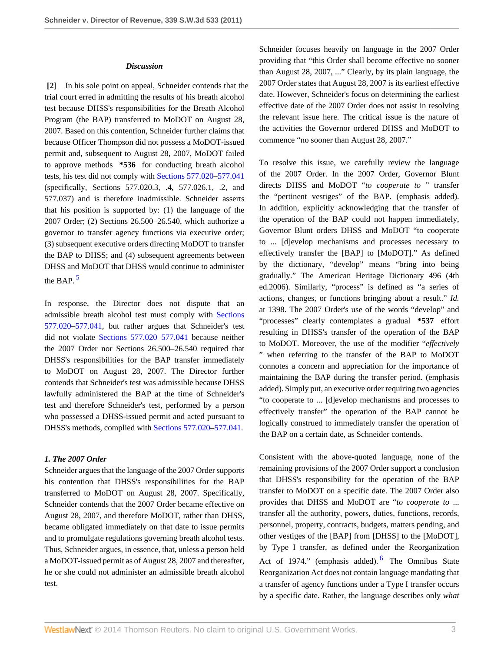### *Discussion*

<span id="page-2-0"></span>**[\[2\]](#page-0-0)** In his sole point on appeal, Schneider contends that the trial court erred in admitting the results of his breath alcohol test because DHSS's responsibilities for the Breath Alcohol Program (the BAP) transferred to MoDOT on August 28, 2007. Based on this contention, Schneider further claims that because Officer Thompson did not possess a MoDOT-issued permit and, subsequent to August 28, 2007, MoDOT failed to approve methods **\*536** for conducting breath alcohol tests, his test did not comply with [Sections 577.020–](http://www.westlaw.com/Link/Document/FullText?findType=L&pubNum=1000229&cite=MOST577.020&originatingDoc=I9da972a96d1a11e0af6af9916f973d19&refType=LQ&originationContext=document&vr=3.0&rs=cblt1.0&transitionType=DocumentItem&contextData=(sc.Search))[577.041](http://www.westlaw.com/Link/Document/FullText?findType=L&pubNum=1000229&cite=MOST577.041&originatingDoc=I9da972a96d1a11e0af6af9916f973d19&refType=LQ&originationContext=document&vr=3.0&rs=cblt1.0&transitionType=DocumentItem&contextData=(sc.Search)) (specifically, Sections 577.020.3, .4, 577.026.1, .2, and 577.037) and is therefore inadmissible. Schneider asserts that his position is supported by: (1) the language of the 2007 Order; (2) Sections 26.500–26.540, which authorize a governor to transfer agency functions via executive order; (3) subsequent executive orders directing MoDOT to transfer the BAP to DHSS; and (4) subsequent agreements between DHSS and MoDOT that DHSS would continue to administer the BAP. $5$ 

<span id="page-2-1"></span>In response, the Director does not dispute that an admissible breath alcohol test must comply with [Sections](http://www.westlaw.com/Link/Document/FullText?findType=L&pubNum=1000229&cite=MOST577.020&originatingDoc=I9da972a96d1a11e0af6af9916f973d19&refType=LQ&originationContext=document&vr=3.0&rs=cblt1.0&transitionType=DocumentItem&contextData=(sc.Search)) [577.020](http://www.westlaw.com/Link/Document/FullText?findType=L&pubNum=1000229&cite=MOST577.020&originatingDoc=I9da972a96d1a11e0af6af9916f973d19&refType=LQ&originationContext=document&vr=3.0&rs=cblt1.0&transitionType=DocumentItem&contextData=(sc.Search))–[577.041](http://www.westlaw.com/Link/Document/FullText?findType=L&pubNum=1000229&cite=MOST577.041&originatingDoc=I9da972a96d1a11e0af6af9916f973d19&refType=LQ&originationContext=document&vr=3.0&rs=cblt1.0&transitionType=DocumentItem&contextData=(sc.Search)), but rather argues that Schneider's test did not violate [Sections 577.020](http://www.westlaw.com/Link/Document/FullText?findType=L&pubNum=1000229&cite=MOST577.020&originatingDoc=I9da972a96d1a11e0af6af9916f973d19&refType=LQ&originationContext=document&vr=3.0&rs=cblt1.0&transitionType=DocumentItem&contextData=(sc.Search))[–577.041](http://www.westlaw.com/Link/Document/FullText?findType=L&pubNum=1000229&cite=MOST577.041&originatingDoc=I9da972a96d1a11e0af6af9916f973d19&refType=LQ&originationContext=document&vr=3.0&rs=cblt1.0&transitionType=DocumentItem&contextData=(sc.Search)) because neither the 2007 Order nor Sections 26.500–26.540 required that DHSS's responsibilities for the BAP transfer immediately to MoDOT on August 28, 2007. The Director further contends that Schneider's test was admissible because DHSS lawfully administered the BAP at the time of Schneider's test and therefore Schneider's test, performed by a person who possessed a DHSS-issued permit and acted pursuant to DHSS's methods, complied with [Sections 577.020–](http://www.westlaw.com/Link/Document/FullText?findType=L&pubNum=1000229&cite=MOST577.020&originatingDoc=I9da972a96d1a11e0af6af9916f973d19&refType=LQ&originationContext=document&vr=3.0&rs=cblt1.0&transitionType=DocumentItem&contextData=(sc.Search))[577.041](http://www.westlaw.com/Link/Document/FullText?findType=L&pubNum=1000229&cite=MOST577.041&originatingDoc=I9da972a96d1a11e0af6af9916f973d19&refType=LQ&originationContext=document&vr=3.0&rs=cblt1.0&transitionType=DocumentItem&contextData=(sc.Search)).

### *1. The 2007 Order*

Schneider argues that the language of the 2007 Order supports his contention that DHSS's responsibilities for the BAP transferred to MoDOT on August 28, 2007. Specifically, Schneider contends that the 2007 Order became effective on August 28, 2007, and therefore MoDOT, rather than DHSS, became obligated immediately on that date to issue permits and to promulgate regulations governing breath alcohol tests. Thus, Schneider argues, in essence, that, unless a person held a MoDOT-issued permit as of August 28, 2007 and thereafter, he or she could not administer an admissible breath alcohol test.

Schneider focuses heavily on language in the 2007 Order providing that "this Order shall become effective no sooner than August 28, 2007, ..." Clearly, by its plain language, the 2007 Order states that August 28, 2007 is its earliest effective date. However, Schneider's focus on determining the earliest effective date of the 2007 Order does not assist in resolving the relevant issue here. The critical issue is the nature of the activities the Governor ordered DHSS and MoDOT to commence "no sooner than August 28, 2007."

To resolve this issue, we carefully review the language of the 2007 Order. In the 2007 Order, Governor Blunt directs DHSS and MoDOT "*to cooperate to* " transfer the "pertinent vestiges" of the BAP. (emphasis added). In addition, explicitly acknowledging that the transfer of the operation of the BAP could not happen immediately, Governor Blunt orders DHSS and MoDOT "to cooperate to ... [d]evelop mechanisms and processes necessary to effectively transfer the [BAP] to [MoDOT]." As defined by the dictionary, "develop" means "bring into being gradually." The American Heritage Dictionary 496 (4th ed.2006). Similarly, "process" is defined as "a series of actions, changes, or functions bringing about a result." *Id.* at 1398. The 2007 Order's use of the words "develop" and "processes" clearly contemplates a gradual **\*537** effort resulting in DHSS's transfer of the operation of the BAP to MoDOT. Moreover, the use of the modifier "*effectively* " when referring to the transfer of the BAP to MoDOT connotes a concern and appreciation for the importance of maintaining the BAP during the transfer period. (emphasis added). Simply put, an executive order requiring two agencies "to cooperate to ... [d]evelop mechanisms and processes to effectively transfer" the operation of the BAP cannot be logically construed to immediately transfer the operation of the BAP on a certain date, as Schneider contends.

<span id="page-2-2"></span>Consistent with the above-quoted language, none of the remaining provisions of the 2007 Order support a conclusion that DHSS's responsibility for the operation of the BAP transfer to MoDOT on a specific date. The 2007 Order also provides that DHSS and MoDOT are "*to cooperate to* ... transfer all the authority, powers, duties, functions, records, personnel, property, contracts, budgets, matters pending, and other vestiges of the [BAP] from [DHSS] to the [MoDOT], by Type I transfer, as defined under the Reorganization Act of 1974." (emphasis added). <sup>[6](#page-5-3)</sup> The Omnibus State Reorganization Act does not contain language mandating that a transfer of agency functions under a Type I transfer occurs by a specific date. Rather, the language describes only *what*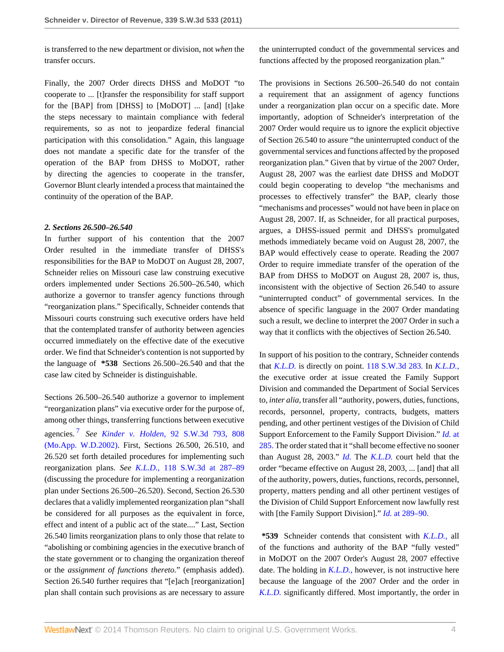is transferred to the new department or division, not *when* the transfer occurs.

Finally, the 2007 Order directs DHSS and MoDOT "to cooperate to ... [t]ransfer the responsibility for staff support for the [BAP] from [DHSS] to [MoDOT] ... [and] [t]ake the steps necessary to maintain compliance with federal requirements, so as not to jeopardize federal financial participation with this consolidation." Again, this language does not mandate a specific date for the transfer of the operation of the BAP from DHSS to MoDOT, rather by directing the agencies to cooperate in the transfer, Governor Blunt clearly intended a process that maintained the continuity of the operation of the BAP.

#### *2. Sections 26.500–26.540*

In further support of his contention that the 2007 Order resulted in the immediate transfer of DHSS's responsibilities for the BAP to MoDOT on August 28, 2007, Schneider relies on Missouri case law construing executive orders implemented under Sections 26.500–26.540, which authorize a governor to transfer agency functions through "reorganization plans." Specifically, Schneider contends that Missouri courts construing such executive orders have held that the contemplated transfer of authority between agencies occurred immediately on the effective date of the executive order. We find that Schneider's contention is not supported by the language of **\*538** Sections 26.500–26.540 and that the case law cited by Schneider is distinguishable.

<span id="page-3-0"></span>Sections 26.500–26.540 authorize a governor to implement "reorganization plans" via executive order for the purpose of, among other things, transferring functions between executive agencies. [7](#page-5-4) *See Kinder v. Holden,* [92 S.W.3d 793, 808](http://www.westlaw.com/Link/Document/FullText?findType=Y&serNum=2002780864&pubNum=4644&fi=co_pp_sp_4644_808&originationContext=document&vr=3.0&rs=cblt1.0&transitionType=DocumentItem&contextData=(sc.Search)#co_pp_sp_4644_808) [\(Mo.App. W.D.2002\).](http://www.westlaw.com/Link/Document/FullText?findType=Y&serNum=2002780864&pubNum=4644&fi=co_pp_sp_4644_808&originationContext=document&vr=3.0&rs=cblt1.0&transitionType=DocumentItem&contextData=(sc.Search)#co_pp_sp_4644_808) First, Sections 26.500, 26.510, and 26.520 set forth detailed procedures for implementing such reorganization plans. *See K.L.D.,* [118 S.W.3d at 287–89](http://www.westlaw.com/Link/Document/FullText?findType=Y&serNum=2003728263&pubNum=4644&fi=co_pp_sp_4644_287&originationContext=document&vr=3.0&rs=cblt1.0&transitionType=DocumentItem&contextData=(sc.Search)#co_pp_sp_4644_287) (discussing the procedure for implementing a reorganization plan under Sections 26.500–26.520). Second, Section 26.530 declares that a validly implemented reorganization plan "shall be considered for all purposes as the equivalent in force, effect and intent of a public act of the state...." Last, Section 26.540 limits reorganization plans to only those that relate to "abolishing or combining agencies in the executive branch of the state government or to changing the organization thereof or the *assignment of functions thereto.*" (emphasis added). Section 26.540 further requires that "[e]ach [reorganization] plan shall contain such provisions as are necessary to assure

the uninterrupted conduct of the governmental services and functions affected by the proposed reorganization plan."

The provisions in Sections 26.500–26.540 do not contain a requirement that an assignment of agency functions under a reorganization plan occur on a specific date. More importantly, adoption of Schneider's interpretation of the 2007 Order would require us to ignore the explicit objective of Section 26.540 to assure "the uninterrupted conduct of the governmental services and functions affected by the proposed reorganization plan." Given that by virtue of the 2007 Order, August 28, 2007 was the earliest date DHSS and MoDOT could begin cooperating to develop "the mechanisms and processes to effectively transfer" the BAP, clearly those "mechanisms and processes" would not have been in place on August 28, 2007. If, as Schneider, for all practical purposes, argues, a DHSS-issued permit and DHSS's promulgated methods immediately became void on August 28, 2007, the BAP would effectively cease to operate. Reading the 2007 Order to require immediate transfer of the operation of the BAP from DHSS to MoDOT on August 28, 2007 is, thus, inconsistent with the objective of Section 26.540 to assure "uninterrupted conduct" of governmental services. In the absence of specific language in the 2007 Order mandating such a result, we decline to interpret the 2007 Order in such a way that it conflicts with the objectives of Section 26.540.

In support of his position to the contrary, Schneider contends that *[K.L.D.](http://www.westlaw.com/Link/Document/FullText?findType=Y&serNum=2003728263&originationContext=document&vr=3.0&rs=cblt1.0&transitionType=DocumentItem&contextData=(sc.Search))* is directly on point. [118 S.W.3d 283.](http://www.westlaw.com/Link/Document/FullText?findType=Y&serNum=2003728263&pubNum=4644&originationContext=document&vr=3.0&rs=cblt1.0&transitionType=DocumentItem&contextData=(sc.Search)) In *[K.L.D.,](http://www.westlaw.com/Link/Document/FullText?findType=Y&serNum=2003728263&originationContext=document&vr=3.0&rs=cblt1.0&transitionType=DocumentItem&contextData=(sc.Search))* the executive order at issue created the Family Support Division and commanded the Department of Social Services to, *inter alia,* transfer all "authority, powers, duties, functions, records, personnel, property, contracts, budgets, matters pending, and other pertinent vestiges of the Division of Child Support Enforcement to the Family Support Division." *[Id.](http://www.westlaw.com/Link/Document/FullText?findType=Y&serNum=2003728263&originationContext=document&vr=3.0&rs=cblt1.0&transitionType=DocumentItem&contextData=(sc.Search))* at [285.](http://www.westlaw.com/Link/Document/FullText?findType=Y&serNum=2003728263&originationContext=document&vr=3.0&rs=cblt1.0&transitionType=DocumentItem&contextData=(sc.Search)) The order stated that it "shall become effective no sooner than August 28, 2003." *[Id.](http://www.westlaw.com/Link/Document/FullText?findType=Y&serNum=2003728263&originationContext=document&vr=3.0&rs=cblt1.0&transitionType=DocumentItem&contextData=(sc.Search))* The *[K.L.D.](http://www.westlaw.com/Link/Document/FullText?findType=Y&serNum=2003728263&originationContext=document&vr=3.0&rs=cblt1.0&transitionType=DocumentItem&contextData=(sc.Search))* court held that the order "became effective on August 28, 2003, ... [and] that all of the authority, powers, duties, functions, records, personnel, property, matters pending and all other pertinent vestiges of the Division of Child Support Enforcement now lawfully rest with [the Family Support Division]." *Id.* [at 289–90.](http://www.westlaw.com/Link/Document/FullText?findType=Y&serNum=2003728263&originationContext=document&vr=3.0&rs=cblt1.0&transitionType=DocumentItem&contextData=(sc.Search))

**\*539** Schneider contends that consistent with *[K.L.D.,](http://www.westlaw.com/Link/Document/FullText?findType=Y&serNum=2003728263&originationContext=document&vr=3.0&rs=cblt1.0&transitionType=DocumentItem&contextData=(sc.Search))* all of the functions and authority of the BAP "fully vested" in MoDOT on the 2007 Order's August 28, 2007 effective date. The holding in *[K.L.D.,](http://www.westlaw.com/Link/Document/FullText?findType=Y&serNum=2003728263&originationContext=document&vr=3.0&rs=cblt1.0&transitionType=DocumentItem&contextData=(sc.Search))* however, is not instructive here because the language of the 2007 Order and the order in *[K.L.D.](http://www.westlaw.com/Link/Document/FullText?findType=Y&serNum=2003728263&originationContext=document&vr=3.0&rs=cblt1.0&transitionType=DocumentItem&contextData=(sc.Search))* significantly differed. Most importantly, the order in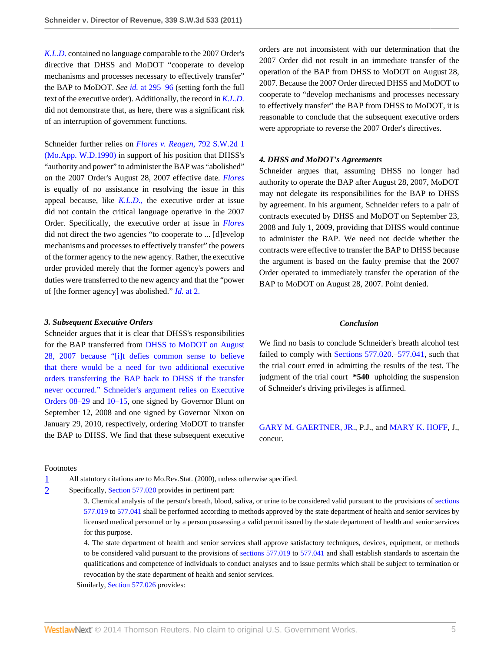*[K.L.D.](http://www.westlaw.com/Link/Document/FullText?findType=Y&serNum=2003728263&originationContext=document&vr=3.0&rs=cblt1.0&transitionType=DocumentItem&contextData=(sc.Search))* contained no language comparable to the 2007 Order's directive that DHSS and MoDOT "cooperate to develop mechanisms and processes necessary to effectively transfer" the BAP to MoDOT. *See id.* [at 295–96](http://www.westlaw.com/Link/Document/FullText?findType=Y&serNum=2003728263&originationContext=document&vr=3.0&rs=cblt1.0&transitionType=DocumentItem&contextData=(sc.Search)) (setting forth the full text of the executive order). Additionally, the record in *[K.L.D.](http://www.westlaw.com/Link/Document/FullText?findType=Y&serNum=2003728263&originationContext=document&vr=3.0&rs=cblt1.0&transitionType=DocumentItem&contextData=(sc.Search))* did not demonstrate that, as here, there was a significant risk of an interruption of government functions.

Schneider further relies on *[Flores v. Reagen,](http://www.westlaw.com/Link/Document/FullText?findType=Y&serNum=1990061534&pubNum=713&originationContext=document&vr=3.0&rs=cblt1.0&transitionType=DocumentItem&contextData=(sc.Search))* 792 S.W.2d 1 [\(Mo.App. W.D.1990\)](http://www.westlaw.com/Link/Document/FullText?findType=Y&serNum=1990061534&pubNum=713&originationContext=document&vr=3.0&rs=cblt1.0&transitionType=DocumentItem&contextData=(sc.Search)) in support of his position that DHSS's "authority and power" to administer the BAP was "abolished" on the 2007 Order's August 28, 2007 effective date. *[Flores](http://www.westlaw.com/Link/Document/FullText?findType=Y&serNum=1990061534&originationContext=document&vr=3.0&rs=cblt1.0&transitionType=DocumentItem&contextData=(sc.Search))* is equally of no assistance in resolving the issue in this appeal because, like *[K.L.D.,](http://www.westlaw.com/Link/Document/FullText?findType=Y&serNum=2003728263&originationContext=document&vr=3.0&rs=cblt1.0&transitionType=DocumentItem&contextData=(sc.Search))* the executive order at issue did not contain the critical language operative in the 2007 Order. Specifically, the executive order at issue in *[Flores](http://www.westlaw.com/Link/Document/FullText?findType=Y&serNum=1990061534&originationContext=document&vr=3.0&rs=cblt1.0&transitionType=DocumentItem&contextData=(sc.Search))* did not direct the two agencies "to cooperate to ... [d]evelop mechanisms and processes to effectively transfer" the powers of the former agency to the new agency. Rather, the executive order provided merely that the former agency's powers and duties were transferred to the new agency and that the "power of [the former agency] was abolished." *Id.* [at 2.](http://www.westlaw.com/Link/Document/FullText?findType=Y&serNum=1990061534&originationContext=document&vr=3.0&rs=cblt1.0&transitionType=DocumentItem&contextData=(sc.Search))

### *3. Subsequent Executive Orders*

Schneider argues that it is clear that DHSS's responsibilities for the BAP transferred from [DHSS to MoDOT on August](http://www.westlaw.com/Link/Document/FullText?findType=Y&cite=EXECORDERNO08-29&originationContext=document&vr=3.0&rs=cblt1.0&transitionType=DocumentItem&contextData=(sc.Search)) [28, 2007 because "\[i\]t defies common sense to believe](http://www.westlaw.com/Link/Document/FullText?findType=Y&cite=EXECORDERNO08-29&originationContext=document&vr=3.0&rs=cblt1.0&transitionType=DocumentItem&contextData=(sc.Search)) [that there would be a need for two additional executive](http://www.westlaw.com/Link/Document/FullText?findType=Y&cite=EXECORDERNO08-29&originationContext=document&vr=3.0&rs=cblt1.0&transitionType=DocumentItem&contextData=(sc.Search)) [orders transferring the BAP back to DHSS if the transfer](http://www.westlaw.com/Link/Document/FullText?findType=Y&cite=EXECORDERNO08-29&originationContext=document&vr=3.0&rs=cblt1.0&transitionType=DocumentItem&contextData=(sc.Search)) [never occurred." Schneider's argument relies on Executive](http://www.westlaw.com/Link/Document/FullText?findType=Y&cite=EXECORDERNO08-29&originationContext=document&vr=3.0&rs=cblt1.0&transitionType=DocumentItem&contextData=(sc.Search)) [Orders 08–29](http://www.westlaw.com/Link/Document/FullText?findType=Y&cite=EXECORDERNO08-29&originationContext=document&vr=3.0&rs=cblt1.0&transitionType=DocumentItem&contextData=(sc.Search)) and [10–15,](http://www.westlaw.com/Link/Document/FullText?findType=Y&cite=EXECORDERNO10-15&originationContext=document&vr=3.0&rs=cblt1.0&transitionType=DocumentItem&contextData=(sc.Search)) one signed by Governor Blunt on September 12, 2008 and one signed by Governor Nixon on January 29, 2010, respectively, ordering MoDOT to transfer the BAP to DHSS. We find that these subsequent executive

#### Footnotes

<span id="page-4-0"></span>[1](#page-0-2) All statutory citations are to Mo.Rev.Stat. (2000), unless otherwise specified.

<span id="page-4-1"></span>[2](#page-1-1) Specifically, [Section 577.020](http://www.westlaw.com/Link/Document/FullText?findType=L&pubNum=1000229&cite=MOST577.020&originatingDoc=I9da972a96d1a11e0af6af9916f973d19&refType=LQ&originationContext=document&vr=3.0&rs=cblt1.0&transitionType=DocumentItem&contextData=(sc.Search)) provides in pertinent part:

3. Chemical analysis of the person's breath, blood, saliva, or urine to be considered valid pursuant to the provisions of [sections](http://www.westlaw.com/Link/Document/FullText?findType=L&pubNum=1000229&cite=MOST577.019&originatingDoc=I9da972a96d1a11e0af6af9916f973d19&refType=LQ&originationContext=document&vr=3.0&rs=cblt1.0&transitionType=DocumentItem&contextData=(sc.Search)) [577.019](http://www.westlaw.com/Link/Document/FullText?findType=L&pubNum=1000229&cite=MOST577.019&originatingDoc=I9da972a96d1a11e0af6af9916f973d19&refType=LQ&originationContext=document&vr=3.0&rs=cblt1.0&transitionType=DocumentItem&contextData=(sc.Search)) to [577.041](http://www.westlaw.com/Link/Document/FullText?findType=L&pubNum=1000229&cite=MOST577.041&originatingDoc=I9da972a96d1a11e0af6af9916f973d19&refType=LQ&originationContext=document&vr=3.0&rs=cblt1.0&transitionType=DocumentItem&contextData=(sc.Search)) shall be performed according to methods approved by the state department of health and senior services by licensed medical personnel or by a person possessing a valid permit issued by the state department of health and senior services for this purpose.

4. The state department of health and senior services shall approve satisfactory techniques, devices, equipment, or methods to be considered valid pursuant to the provisions of [sections 577.019](http://www.westlaw.com/Link/Document/FullText?findType=L&pubNum=1000229&cite=MOST577.019&originatingDoc=I9da972a96d1a11e0af6af9916f973d19&refType=LQ&originationContext=document&vr=3.0&rs=cblt1.0&transitionType=DocumentItem&contextData=(sc.Search)) to [577.041](http://www.westlaw.com/Link/Document/FullText?findType=L&pubNum=1000229&cite=MOST577.041&originatingDoc=I9da972a96d1a11e0af6af9916f973d19&refType=LQ&originationContext=document&vr=3.0&rs=cblt1.0&transitionType=DocumentItem&contextData=(sc.Search)) and shall establish standards to ascertain the qualifications and competence of individuals to conduct analyses and to issue permits which shall be subject to termination or revocation by the state department of health and senior services.

Similarly, [Section 577.026](http://www.westlaw.com/Link/Document/FullText?findType=L&pubNum=1000229&cite=MOST577.026&originatingDoc=I9da972a96d1a11e0af6af9916f973d19&refType=LQ&originationContext=document&vr=3.0&rs=cblt1.0&transitionType=DocumentItem&contextData=(sc.Search)) provides:

orders are not inconsistent with our determination that the 2007 Order did not result in an immediate transfer of the operation of the BAP from DHSS to MoDOT on August 28, 2007. Because the 2007 Order directed DHSS and MoDOT to cooperate to "develop mechanisms and processes necessary to effectively transfer" the BAP from DHSS to MoDOT, it is reasonable to conclude that the subsequent executive orders were appropriate to reverse the 2007 Order's directives.

#### *4. DHSS and MoDOT's Agreements*

Schneider argues that, assuming DHSS no longer had authority to operate the BAP after August 28, 2007, MoDOT may not delegate its responsibilities for the BAP to DHSS by agreement. In his argument, Schneider refers to a pair of contracts executed by DHSS and MoDOT on September 23, 2008 and July 1, 2009, providing that DHSS would continue to administer the BAP. We need not decide whether the contracts were effective to transfer the BAP to DHSS because the argument is based on the faulty premise that the 2007 Order operated to immediately transfer the operation of the BAP to MoDOT on August 28, 2007. Point denied.

#### *Conclusion*

We find no basis to conclude Schneider's breath alcohol test failed to comply with [Sections 577.020.](http://www.westlaw.com/Link/Document/FullText?findType=L&pubNum=1000229&cite=MOST577.020&originatingDoc=I9da972a96d1a11e0af6af9916f973d19&refType=LQ&originationContext=document&vr=3.0&rs=cblt1.0&transitionType=DocumentItem&contextData=(sc.Search))[–577.041,](http://www.westlaw.com/Link/Document/FullText?findType=L&pubNum=1000229&cite=MOST577.041&originatingDoc=I9da972a96d1a11e0af6af9916f973d19&refType=LQ&originationContext=document&vr=3.0&rs=cblt1.0&transitionType=DocumentItem&contextData=(sc.Search)) such that the trial court erred in admitting the results of the test. The judgment of the trial court **\*540** upholding the suspension of Schneider's driving privileges is affirmed.

[GARY M. GAERTNER, JR.,](http://www.westlaw.com/Link/Document/FullText?findType=h&pubNum=176284&cite=0331209401&originatingDoc=I9da972a96d1a11e0af6af9916f973d19&refType=RQ&originationContext=document&vr=3.0&rs=cblt1.0&transitionType=DocumentItem&contextData=(sc.Search)) P.J., and [MARY K. HOFF,](http://www.westlaw.com/Link/Document/FullText?findType=h&pubNum=176284&cite=0100550601&originatingDoc=I9da972a96d1a11e0af6af9916f973d19&refType=RQ&originationContext=document&vr=3.0&rs=cblt1.0&transitionType=DocumentItem&contextData=(sc.Search)) J., concur.